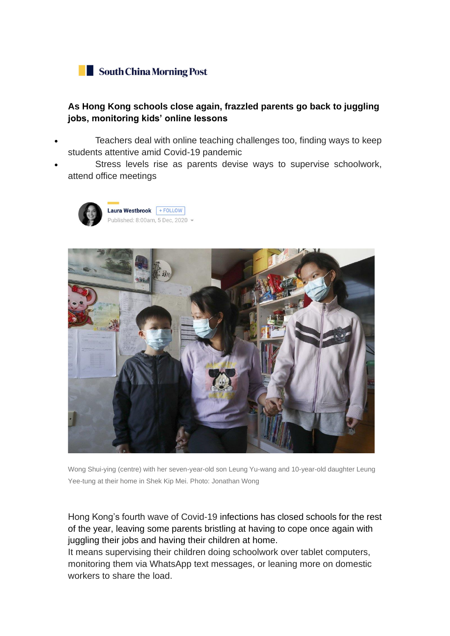

## **As Hong Kong schools close again, frazzled parents go back to juggling jobs, monitoring kids' online lessons**

- Teachers deal with online teaching challenges too, finding ways to keep students attentive amid Covid-19 pandemic
- Stress levels rise as parents devise ways to supervise schoolwork, attend office meetings





Wong Shui-ying (centre) with her seven-year-old son Leung Yu-wang and 10-year-old daughter Leung Yee-tung at their home in Shek Kip Mei. Photo: Jonathan Wong

Hong Kong's fourth wave of [Covid-19](https://www.scmp.com/topics/coronavirus-pandemic-all-stories) infections has closed schools for the rest of the year, leaving some parents bristling at having to cope once again with juggling their jobs and having their children at home.

It means supervising their children doing schoolwork over tablet computers, monitoring them via WhatsApp text messages, or leaning more on domestic workers to share the load.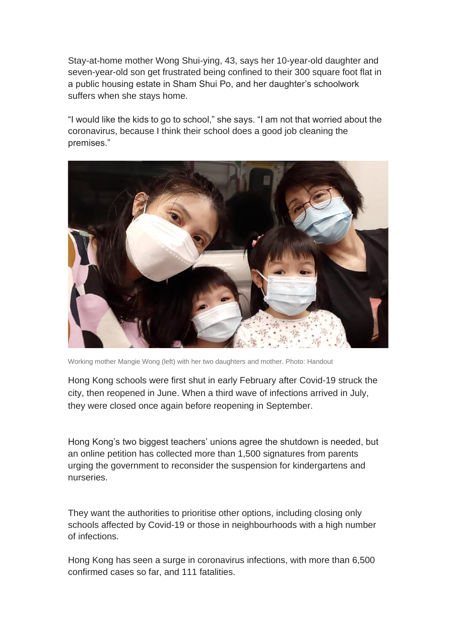Stay-at-home mother Wong Shui-ying, 43, says her 10-year-old daughter and seven-year-old son get frustrated being confined to their 300 square foot flat in a public housing estate in Sham Shui Po, and her daughter's schoolwork suffers when she stays home.

"I would like the kids to go to school," she says. "I am not that worried about the coronavirus, because I think their school does a good job cleaning the premises."



Working mother Mangie Wong (left) with her two daughters and mother. Photo: Handout

Hong Kong schools were first shut in early February after Covid-19 struck the city, then reopened in June. When a third wave of infections arrived in July, they were closed once again before reopening in September.

Hong Kong's two biggest teachers' unions agree the shutdown is needed, but an online petition has collected more than 1,500 signatures from parents urging the government to reconsider the suspension for kindergartens and nurseries.

They want the authorities to prioritise other options, including closing only schools affected by Covid-19 or those in neighbourhoods with a high number of infections.

Hong Kong has seen a surge in coronavirus infections, with more than 6,500 confirmed cases so far, and 111 fatalities.